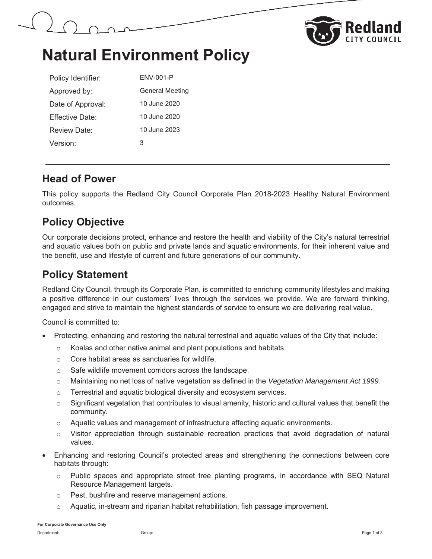



## **Natural Environment Policy**

| Policy Identifier: | <b>ENV-001-P</b> |
|--------------------|------------------|
| Approved by:       | General Meeting  |
| Date of Approval:  | 10 June 2020     |
| Fffective Date:    | 10 June 2020     |
| Review Date:       | 10 June 2023     |
| Version:           | 3                |

#### **Head of Power**

This policy supports the Redland City Council Corporate Plan 2018-2023 Healthy Natural Environment outcomes.

## **Policy Objective**

Our corporate decisions protect, enhance and restore the health and viability of the City's natural terrestrial and aquatic values both on public and private lands and aquatic environments, for their inherent value and the benefit, use and lifestyle of current and future generations of our community.

## **Policy Statement**

Redland City Council, through its Corporate Plan, is committed to enriching community lifestyles and making a positive difference in our customers' lives through the services we provide. We are forward thinking, engaged and strive to maintain the highest standards of service to ensure we are delivering real value.

Council is committed to:

- Protecting, enhancing and restoring the natural terrestrial and aquatic values of the City that include:
	- $\circ$  Koalas and other native animal and plant populations and habitats.
	- o Core habitat areas as sanctuaries for wildlife.
	- o Safe wildlife movement corridors across the landscape.
	- o Maintaining no net loss of native vegetation as defined in the *Vegetation Management Act 1999.*
	- o Terrestrial and aquatic biological diversity and ecosystem services.
	- $\circ$  Significant vegetation that contributes to visual amenity, historic and cultural values that benefit the community.
	- $\circ$  Aquatic values and management of infrastructure affecting aquatic environments.
	- $\circ$  Visitor appreciation through sustainable recreation practices that avoid degradation of natural values.
- Enhancing and restoring Council's protected areas and strengthening the connections between core habitats through:
	- o Public spaces and appropriate street tree planting programs, in accordance with SEQ Natural Resource Management targets.
	- o Pest, bushfire and reserve management actions.
	- $\circ$  Aquatic, in-stream and riparian habitat rehabilitation, fish passage improvement.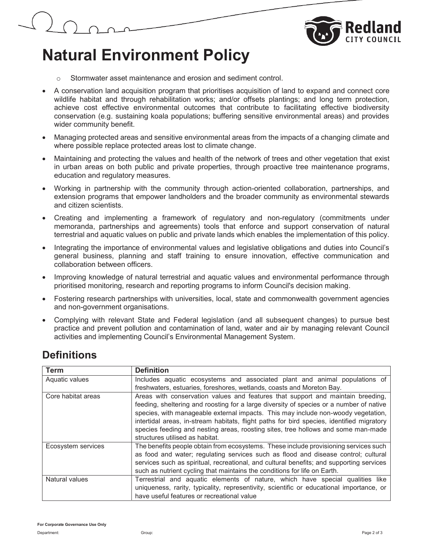



# **Natural Environment Policy**

- $\circ$  Stormwater asset maintenance and erosion and sediment control.
- x A conservation land acquisition program that prioritises acquisition of land to expand and connect core wildlife habitat and through rehabilitation works; and/or offsets plantings; and long term protection, achieve cost effective environmental outcomes that contribute to facilitating effective biodiversity conservation (e.g. sustaining koala populations; buffering sensitive environmental areas) and provides wider community benefit.
- Managing protected areas and sensitive environmental areas from the impacts of a changing climate and where possible replace protected areas lost to climate change.
- Maintaining and protecting the values and health of the network of trees and other vegetation that exist in urban areas on both public and private properties, through proactive tree maintenance programs, education and regulatory measures.
- Working in partnership with the community through action-oriented collaboration, partnerships, and extension programs that empower landholders and the broader community as environmental stewards and citizen scientists.
- x Creating and implementing a framework of regulatory and non-regulatory (commitments under memoranda, partnerships and agreements) tools that enforce and support conservation of natural terrestrial and aquatic values on public and private lands which enables the implementation of this policy.
- Integrating the importance of environmental values and legislative obligations and duties into Council's general business, planning and staff training to ensure innovation, effective communication and collaboration between officers.
- Improving knowledge of natural terrestrial and aquatic values and environmental performance through prioritised monitoring, research and reporting programs to inform Council's decision making.
- Fostering research partnerships with universities, local, state and commonwealth government agencies and non-government organisations.
- Complying with relevant State and Federal legislation (and all subsequent changes) to pursue best practice and prevent pollution and contamination of land, water and air by managing relevant Council activities and implementing Council's Environmental Management System.

| Term                  | <b>Definition</b>                                                                         |
|-----------------------|-------------------------------------------------------------------------------------------|
| Aquatic values        | Includes aquatic ecosystems and associated plant and animal populations of                |
|                       | freshwaters, estuaries, foreshores, wetlands, coasts and Moreton Bay.                     |
| Core habitat areas    | Areas with conservation values and features that support and maintain breeding,           |
|                       | feeding, sheltering and roosting for a large diversity of species or a number of native   |
|                       | species, with manageable external impacts. This may include non-woody vegetation,         |
|                       | intertidal areas, in-stream habitats, flight paths for bird species, identified migratory |
|                       | species feeding and nesting areas, roosting sites, tree hollows and some man-made         |
|                       | structures utilised as habitat.                                                           |
| Ecosystem services    | The benefits people obtain from ecosystems. These include provisioning services such      |
|                       | as food and water; regulating services such as flood and disease control; cultural        |
|                       | services such as spiritual, recreational, and cultural benefits; and supporting services  |
|                       | such as nutrient cycling that maintains the conditions for life on Earth.                 |
| <b>Natural values</b> | Terrestrial and aquatic elements of nature, which have special qualities like             |
|                       | uniqueness, rarity, typicality, representivity, scientific or educational importance, or  |
|                       | have useful features or recreational value                                                |

## **Definitions**